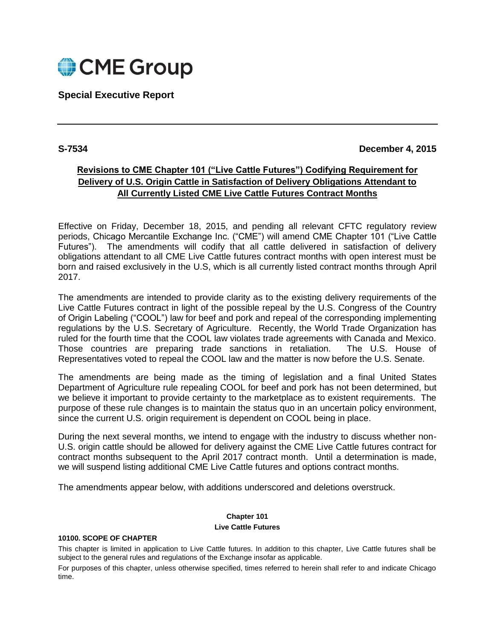

## **Special Executive Report**

## **S-7534 December 4, 2015**

# **Revisions to CME Chapter 101 ("Live Cattle Futures") Codifying Requirement for Delivery of U.S. Origin Cattle in Satisfaction of Delivery Obligations Attendant to All Currently Listed CME Live Cattle Futures Contract Months**

Effective on Friday, December 18, 2015, and pending all relevant CFTC regulatory review periods, Chicago Mercantile Exchange Inc. ("CME") will amend CME Chapter 101 ("Live Cattle Futures"). The amendments will codify that all cattle delivered in satisfaction of delivery obligations attendant to all CME Live Cattle futures contract months with open interest must be born and raised exclusively in the U.S, which is all currently listed contract months through April 2017.

The amendments are intended to provide clarity as to the existing delivery requirements of the Live Cattle Futures contract in light of the possible repeal by the U.S. Congress of the Country of Origin Labeling ("COOL") law for beef and pork and repeal of the corresponding implementing regulations by the U.S. Secretary of Agriculture. Recently, the World Trade Organization has ruled for the fourth time that the COOL law violates trade agreements with Canada and Mexico. Those countries are preparing trade sanctions in retaliation. The U.S. House of Representatives voted to repeal the COOL law and the matter is now before the U.S. Senate.

The amendments are being made as the timing of legislation and a final United States Department of Agriculture rule repealing COOL for beef and pork has not been determined, but we believe it important to provide certainty to the marketplace as to existent requirements. The purpose of these rule changes is to maintain the status quo in an uncertain policy environment, since the current U.S. origin requirement is dependent on COOL being in place.

During the next several months, we intend to engage with the industry to discuss whether non-U.S. origin cattle should be allowed for delivery against the CME Live Cattle futures contract for contract months subsequent to the April 2017 contract month. Until a determination is made, we will suspend listing additional CME Live Cattle futures and options contract months.

The amendments appear below, with additions underscored and deletions overstruck.

# **Chapter 101**

#### **Live Cattle Futures**

#### **10100. SCOPE OF CHAPTER**

This chapter is limited in application to Live Cattle futures. In addition to this chapter, Live Cattle futures shall be subject to the general rules and regulations of the Exchange insofar as applicable.

For purposes of this chapter, unless otherwise specified, times referred to herein shall refer to and indicate Chicago time.